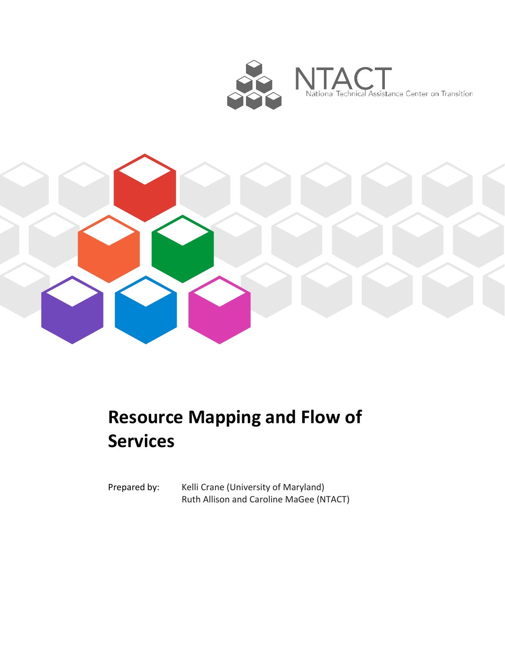



# **Resource Mapping and Flow of Services**

Prepared by: Kelli Crane (University of Maryland) Ruth Allison and Caroline MaGee (NTACT)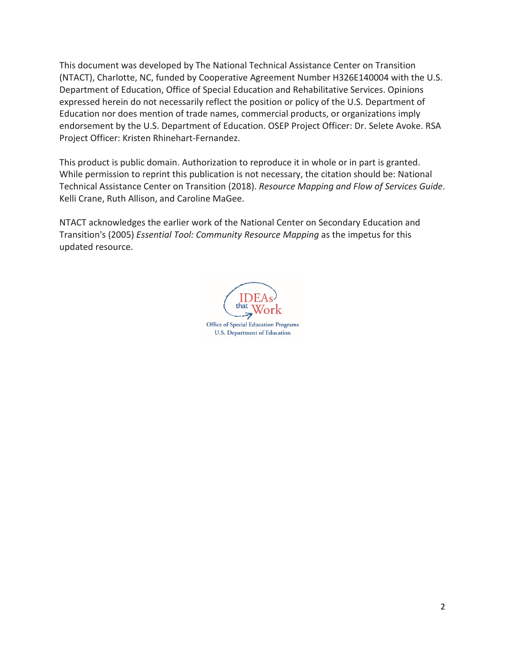This document was developed by The National Technical Assistance Center on Transition (NTACT), Charlotte, NC, funded by Cooperative Agreement Number H326E140004 with the U.S. Department of Education, Office of Special Education and Rehabilitative Services. Opinions expressed herein do not necessarily reflect the position or policy of the U.S. Department of Education nor does mention of trade names, commercial products, or organizations imply endorsement by the U.S. Department of Education. OSEP Project Officer: Dr. Selete Avoke. RSA Project Officer: Kristen Rhinehart-Fernandez.

This product is public domain. Authorization to reproduce it in whole or in part is granted. While permission to reprint this publication is not necessary, the citation should be: National Technical Assistance Center on Transition (2018). *Resource Mapping and Flow of Services Guide*. Kelli Crane, Ruth Allison, and Caroline MaGee.

NTACT acknowledges the earlier work of the National Center on Secondary Education and Transition's (2005) *Essential Tool: Community Resource Mapping* as the impetus for this updated resource.

that Office of Special Education Programs **U.S. Department of Education**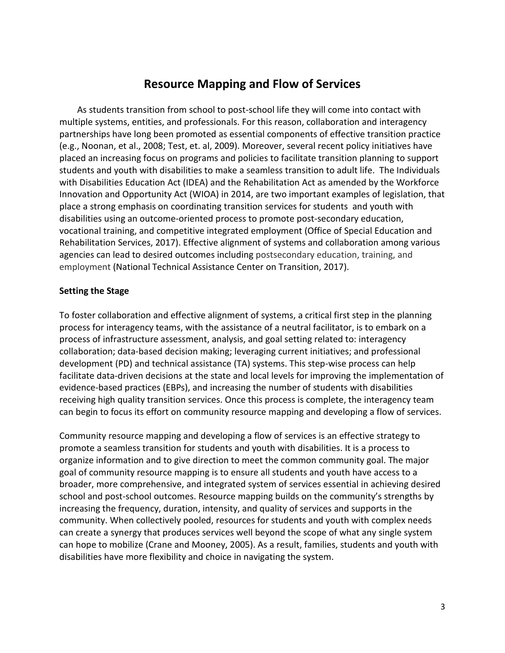# **Resource Mapping and Flow of Services**

As students transition from school to post-school life they will come into contact with multiple systems, entities, and professionals. For this reason, collaboration and interagency partnerships have long been promoted as essential components of effective transition practice (e.g., Noonan, et al., 2008; Test, et. al, 2009). Moreover, several recent policy initiatives have placed an increasing focus on programs and policies to facilitate transition planning to support students and youth with disabilities to make a seamless transition to adult life. The Individuals with Disabilities Education Act (IDEA) and the Rehabilitation Act as amended by the Workforce Innovation and Opportunity Act (WIOA) in 2014, are two important examples of legislation, that place a strong emphasis on coordinating transition services for students and youth with disabilities using an outcome-oriented process to promote post-secondary education, vocational training, and competitive integrated employment (Office of Special Education and Rehabilitation Services, 2017). Effective alignment of systems and collaboration among various agencies can lead to desired outcomes including postsecondary education, training, and employment (National Technical Assistance Center on Transition, 2017).

#### **Setting the Stage**

To foster collaboration and effective alignment of systems, a critical first step in the planning process for interagency teams, with the assistance of a neutral facilitator, is to embark on a process of infrastructure assessment, analysis, and goal setting related to: interagency collaboration; data-based decision making; leveraging current initiatives; and professional development (PD) and technical assistance (TA) systems. This step-wise process can help facilitate data-driven decisions at the state and local levels for improving the implementation of evidence-based practices (EBPs), and increasing the number of students with disabilities receiving high quality transition services. Once this process is complete, the interagency team can begin to focus its effort on community resource mapping and developing a flow of services.

Community resource mapping and developing a flow of services is an effective strategy to promote a seamless transition for students and youth with disabilities. It is a process to organize information and to give direction to meet the common community goal. The major goal of community resource mapping is to ensure all students and youth have access to a broader, more comprehensive, and integrated system of services essential in achieving desired school and post-school outcomes. Resource mapping builds on the community's strengths by increasing the frequency, duration, intensity, and quality of services and supports in the community. When collectively pooled, resources for students and youth with complex needs can create a synergy that produces services well beyond the scope of what any single system can hope to mobilize (Crane and Mooney, 2005). As a result, families, students and youth with disabilities have more flexibility and choice in navigating the system.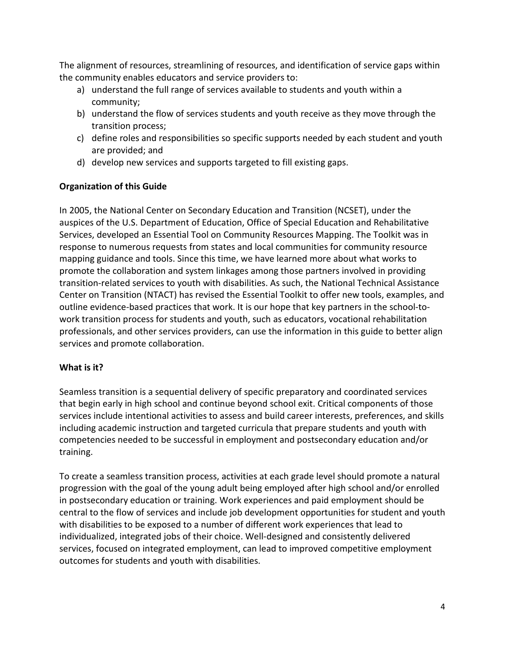The alignment of resources, streamlining of resources, and identification of service gaps within the community enables educators and service providers to:

- a) understand the full range of services available to students and youth within a community;
- b) understand the flow of services students and youth receive as they move through the transition process;
- c) define roles and responsibilities so specific supports needed by each student and youth are provided; and
- d) develop new services and supports targeted to fill existing gaps.

## **Organization of this Guide**

In 2005, the National Center on Secondary Education and Transition (NCSET), under the auspices of the U.S. Department of Education, Office of Special Education and Rehabilitative Services, developed an Essential Tool on Community Resources Mapping. The Toolkit was in response to numerous requests from states and local communities for community resource mapping guidance and tools. Since this time, we have learned more about what works to promote the collaboration and system linkages among those partners involved in providing transition-related services to youth with disabilities. As such, the National Technical Assistance Center on Transition (NTACT) has revised the Essential Toolkit to offer new tools, examples, and outline evidence-based practices that work. It is our hope that key partners in the school-towork transition process for students and youth, such as educators, vocational rehabilitation professionals, and other services providers, can use the information in this guide to better align services and promote collaboration.

# **What is it?**

Seamless transition is a sequential delivery of specific preparatory and coordinated services that begin early in high school and continue beyond school exit. Critical components of those services include intentional activities to assess and build career interests, preferences, and skills including academic instruction and targeted curricula that prepare students and youth with competencies needed to be successful in employment and postsecondary education and/or training.

To create a seamless transition process, activities at each grade level should promote a natural progression with the goal of the young adult being employed after high school and/or enrolled in postsecondary education or training. Work experiences and paid employment should be central to the flow of services and include job development opportunities for student and youth with disabilities to be exposed to a number of different work experiences that lead to individualized, integrated jobs of their choice. Well-designed and consistently delivered services, focused on integrated employment, can lead to improved competitive employment outcomes for students and youth with disabilities.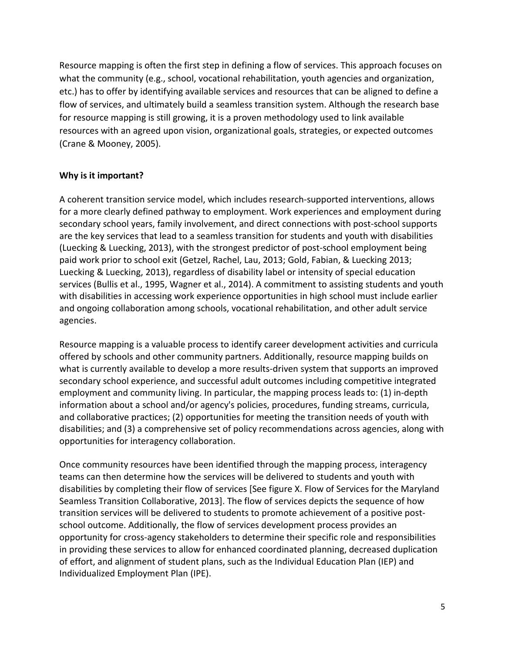Resource mapping is often the first step in defining a flow of services. This approach focuses on what the community (e.g., school, vocational rehabilitation, youth agencies and organization, etc.) has to offer by identifying available services and resources that can be aligned to define a flow of services, and ultimately build a seamless transition system. Although the research base for resource mapping is still growing, it is a proven methodology used to link available resources with an agreed upon vision, organizational goals, strategies, or expected outcomes (Crane & Mooney, 2005).

#### **Why is it important?**

A coherent transition service model, which includes research-supported interventions, allows for a more clearly defined pathway to employment. Work experiences and employment during secondary school years, family involvement, and direct connections with post-school supports are the key services that lead to a seamless transition for students and youth with disabilities (Luecking & Luecking, 2013), with the strongest predictor of post-school employment being paid work prior to school exit (Getzel, Rachel, Lau, 2013; Gold, Fabian, & Luecking 2013; Luecking & Luecking, 2013), regardless of disability label or intensity of special education services (Bullis et al., 1995, Wagner et al., 2014). A commitment to assisting students and youth with disabilities in accessing work experience opportunities in high school must include earlier and ongoing collaboration among schools, vocational rehabilitation, and other adult service agencies.

Resource mapping is a valuable process to identify career development activities and curricula offered by schools and other community partners. Additionally, resource mapping builds on what is currently available to develop a more results-driven system that supports an improved secondary school experience, and successful adult outcomes including competitive integrated employment and community living. In particular, the mapping process leads to: (1) in-depth information about a school and/or agency's policies, procedures, funding streams, curricula, and collaborative practices; (2) opportunities for meeting the transition needs of youth with disabilities; and (3) a comprehensive set of policy recommendations across agencies, along with opportunities for interagency collaboration.

Once community resources have been identified through the mapping process, interagency teams can then determine how the services will be delivered to students and youth with disabilities by completing their flow of services [See figure X. Flow of Services for the Maryland Seamless Transition Collaborative, 2013]. The flow of services depicts the sequence of how transition services will be delivered to students to promote achievement of a positive postschool outcome. Additionally, the flow of services development process provides an opportunity for cross-agency stakeholders to determine their specific role and responsibilities in providing these services to allow for enhanced coordinated planning, decreased duplication of effort, and alignment of student plans, such as the Individual Education Plan (IEP) and Individualized Employment Plan (IPE).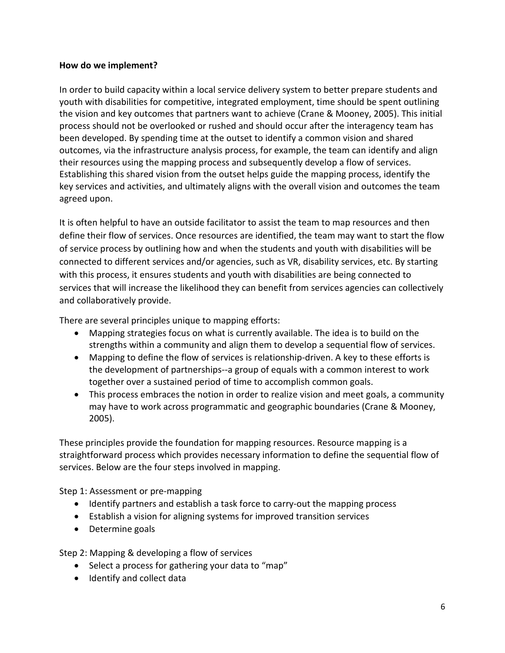#### **How do we implement?**

In order to build capacity within a local service delivery system to better prepare students and youth with disabilities for competitive, integrated employment, time should be spent outlining the vision and key outcomes that partners want to achieve (Crane & Mooney, 2005). This initial process should not be overlooked or rushed and should occur after the interagency team has been developed. By spending time at the outset to identify a common vision and shared outcomes, via the infrastructure analysis process, for example, the team can identify and align their resources using the mapping process and subsequently develop a flow of services. Establishing this shared vision from the outset helps guide the mapping process, identify the key services and activities, and ultimately aligns with the overall vision and outcomes the team agreed upon.

It is often helpful to have an outside facilitator to assist the team to map resources and then define their flow of services. Once resources are identified, the team may want to start the flow of service process by outlining how and when the students and youth with disabilities will be connected to different services and/or agencies, such as VR, disability services, etc. By starting with this process, it ensures students and youth with disabilities are being connected to services that will increase the likelihood they can benefit from services agencies can collectively and collaboratively provide.

There are several principles unique to mapping efforts:

- Mapping strategies focus on what is currently available. The idea is to build on the strengths within a community and align them to develop a sequential flow of services.
- Mapping to define the flow of services is relationship-driven. A key to these efforts is the development of partnerships--a group of equals with a common interest to work together over a sustained period of time to accomplish common goals.
- This process embraces the notion in order to realize vision and meet goals, a community may have to work across programmatic and geographic boundaries (Crane & Mooney, 2005).

These principles provide the foundation for mapping resources. Resource mapping is a straightforward process which provides necessary information to define the sequential flow of services. Below are the four steps involved in mapping.

Step 1: Assessment or pre-mapping

- Identify partners and establish a task force to carry-out the mapping process
- Establish a vision for aligning systems for improved transition services
- Determine goals

Step 2: Mapping & developing a flow of services

- Select a process for gathering your data to "map"
- Identify and collect data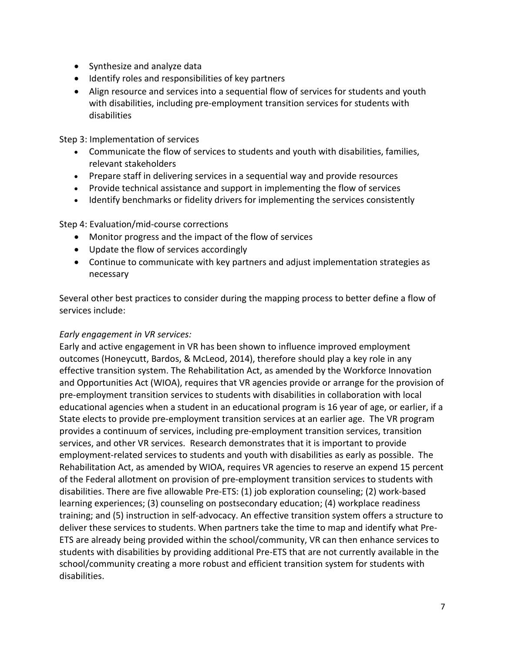- Synthesize and analyze data
- Identify roles and responsibilities of key partners
- Align resource and services into a sequential flow of services for students and youth with disabilities, including pre-employment transition services for students with disabilities

Step 3: Implementation of services

- Communicate the flow of services to students and youth with disabilities, families, relevant stakeholders
- Prepare staff in delivering services in a sequential way and provide resources
- Provide technical assistance and support in implementing the flow of services
- Identify benchmarks or fidelity drivers for implementing the services consistently

Step 4: Evaluation/mid-course corrections

- Monitor progress and the impact of the flow of services
- Update the flow of services accordingly
- Continue to communicate with key partners and adjust implementation strategies as necessary

Several other best practices to consider during the mapping process to better define a flow of services include:

#### *Early engagement in VR services:*

Early and active engagement in VR has been shown to influence improved employment outcomes (Honeycutt, Bardos, & McLeod, 2014), therefore should play a key role in any effective transition system. The Rehabilitation Act, as amended by the Workforce Innovation and Opportunities Act (WIOA), requires that VR agencies provide or arrange for the provision of pre-employment transition services to students with disabilities in collaboration with local educational agencies when a student in an educational program is 16 year of age, or earlier, if a State elects to provide pre-employment transition services at an earlier age. The VR program provides a continuum of services, including pre-employment transition services, transition services, and other VR services. Research demonstrates that it is important to provide employment-related services to students and youth with disabilities as early as possible. The Rehabilitation Act, as amended by WIOA, requires VR agencies to reserve an expend 15 percent of the Federal allotment on provision of pre-employment transition services to students with disabilities. There are five allowable Pre-ETS: (1) job exploration counseling; (2) work-based learning experiences; (3) counseling on postsecondary education; (4) workplace readiness training; and (5) instruction in self-advocacy. An effective transition system offers a structure to deliver these services to students. When partners take the time to map and identify what Pre-ETS are already being provided within the school/community, VR can then enhance services to students with disabilities by providing additional Pre-ETS that are not currently available in the school/community creating a more robust and efficient transition system for students with disabilities.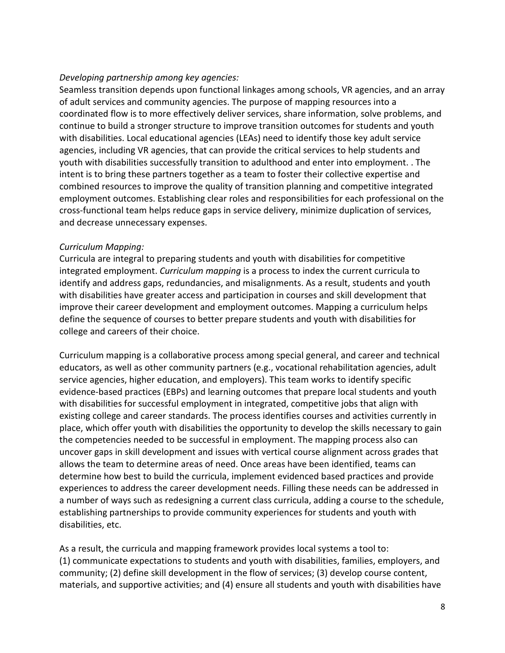#### *Developing partnership among key agencies:*

Seamless transition depends upon functional linkages among schools, VR agencies, and an array of adult services and community agencies. The purpose of mapping resources into a coordinated flow is to more effectively deliver services, share information, solve problems, and continue to build a stronger structure to improve transition outcomes for students and youth with disabilities. Local educational agencies (LEAs) need to identify those key adult service agencies, including VR agencies, that can provide the critical services to help students and youth with disabilities successfully transition to adulthood and enter into employment. . The intent is to bring these partners together as a team to foster their collective expertise and combined resources to improve the quality of transition planning and competitive integrated employment outcomes. Establishing clear roles and responsibilities for each professional on the cross-functional team helps reduce gaps in service delivery, minimize duplication of services, and decrease unnecessary expenses.

#### *Curriculum Mapping:*

Curricula are integral to preparing students and youth with disabilities for competitive integrated employment. *Curriculum mapping* is a process to index the current curricula to identify and address gaps, redundancies, and misalignments. As a result, students and youth with disabilities have greater access and participation in courses and skill development that improve their career development and employment outcomes. Mapping a curriculum helps define the sequence of courses to better prepare students and youth with disabilities for college and careers of their choice.

Curriculum mapping is a collaborative process among special general, and career and technical educators, as well as other community partners (e.g., vocational rehabilitation agencies, adult service agencies, higher education, and employers). This team works to identify specific evidence-based practices (EBPs) and learning outcomes that prepare local students and youth with disabilities for successful employment in integrated, competitive jobs that align with existing college and career standards. The process identifies courses and activities currently in place, which offer youth with disabilities the opportunity to develop the skills necessary to gain the competencies needed to be successful in employment. The mapping process also can uncover gaps in skill development and issues with vertical course alignment across grades that allows the team to determine areas of need. Once areas have been identified, teams can determine how best to build the curricula, implement evidenced based practices and provide experiences to address the career development needs. Filling these needs can be addressed in a number of ways such as redesigning a current class curricula, adding a course to the schedule, establishing partnerships to provide community experiences for students and youth with disabilities, etc.

As a result, the curricula and mapping framework provides local systems a tool to: (1) communicate expectations to students and youth with disabilities, families, employers, and community; (2) define skill development in the flow of services; (3) develop course content, materials, and supportive activities; and (4) ensure all students and youth with disabilities have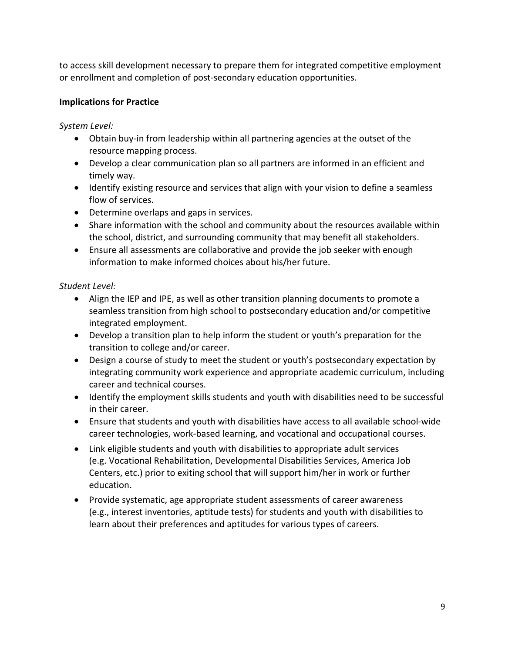to access skill development necessary to prepare them for integrated competitive employment or enrollment and completion of post-secondary education opportunities.

# **Implications for Practice**

*System Level:*

- Obtain buy-in from leadership within all partnering agencies at the outset of the resource mapping process.
- Develop a clear communication plan so all partners are informed in an efficient and timely way.
- Identify existing resource and services that align with your vision to define a seamless flow of services.
- Determine overlaps and gaps in services.
- Share information with the school and community about the resources available within the school, district, and surrounding community that may benefit all stakeholders.
- Ensure all assessments are collaborative and provide the job seeker with enough information to make informed choices about his/her future.

# *Student Level:*

- Align the IEP and IPE, as well as other transition planning documents to promote a seamless transition from high school to postsecondary education and/or competitive integrated employment.
- Develop a transition plan to help inform the student or youth's preparation for the transition to college and/or career.
- Design a course of study to meet the student or youth's postsecondary expectation by integrating community work experience and appropriate academic curriculum, including career and technical courses.
- Identify the employment skills students and youth with disabilities need to be successful in their career.
- Ensure that students and youth with disabilities have access to all available school-wide career technologies, work-based learning, and vocational and occupational courses.
- Link eligible students and youth with disabilities to appropriate adult services (e.g. Vocational Rehabilitation, Developmental Disabilities Services, America Job Centers, etc.) prior to exiting school that will support him/her in work or further education.
- Provide systematic, age appropriate student assessments of career awareness (e.g., interest inventories, aptitude tests) for students and youth with disabilities to learn about their preferences and aptitudes for various types of careers.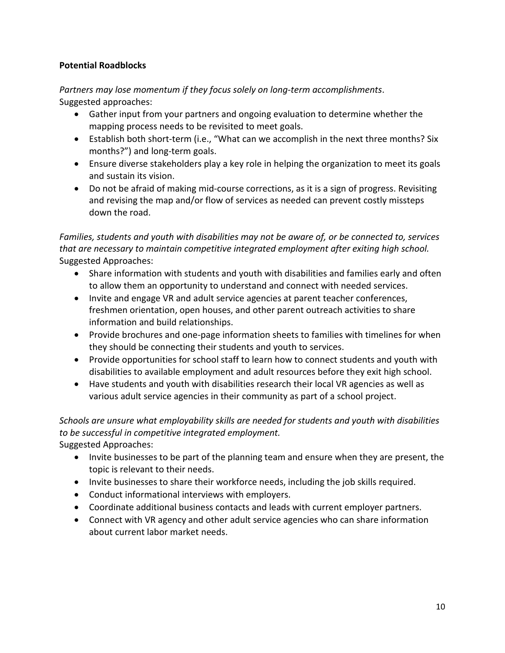### **Potential Roadblocks**

*Partners may lose momentum if they focus solely on long-term accomplishments*. Suggested approaches:

- Gather input from your partners and ongoing evaluation to determine whether the mapping process needs to be revisited to meet goals.
- Establish both short-term (i.e., "What can we accomplish in the next three months? Six months?") and long-term goals.
- Ensure diverse stakeholders play a key role in helping the organization to meet its goals and sustain its vision.
- Do not be afraid of making mid-course corrections, as it is a sign of progress. Revisiting and revising the map and/or flow of services as needed can prevent costly missteps down the road.

# *Families, students and youth with disabilities may not be aware of, or be connected to, services that are necessary to maintain competitive integrated employment after exiting high school.* Suggested Approaches:

- Share information with students and youth with disabilities and families early and often to allow them an opportunity to understand and connect with needed services.
- Invite and engage VR and adult service agencies at parent teacher conferences, freshmen orientation, open houses, and other parent outreach activities to share information and build relationships.
- Provide brochures and one-page information sheets to families with timelines for when they should be connecting their students and youth to services.
- Provide opportunities for school staff to learn how to connect students and youth with disabilities to available employment and adult resources before they exit high school.
- Have students and youth with disabilities research their local VR agencies as well as various adult service agencies in their community as part of a school project.

# *Schools are unsure what employability skills are needed for students and youth with disabilities to be successful in competitive integrated employment.*

Suggested Approaches:

- Invite businesses to be part of the planning team and ensure when they are present, the topic is relevant to their needs.
- Invite businesses to share their workforce needs, including the job skills required.
- Conduct informational interviews with employers.
- Coordinate additional business contacts and leads with current employer partners.
- Connect with VR agency and other adult service agencies who can share information about current labor market needs.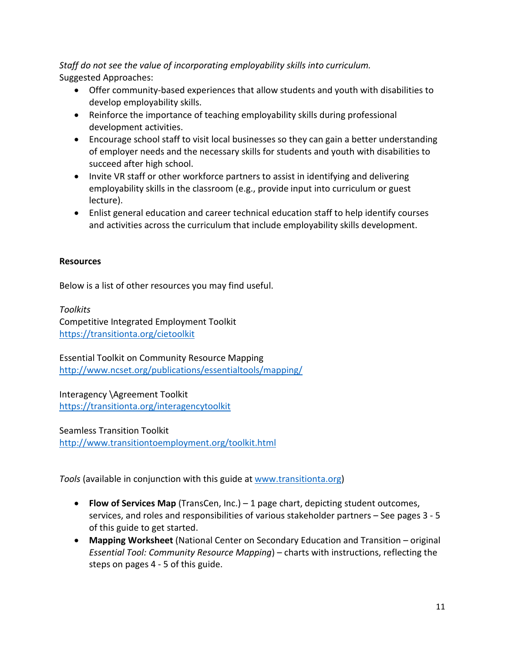*Staff do not see the value of incorporating employability skills into curriculum.* Suggested Approaches:

- Offer community-based experiences that allow students and youth with disabilities to develop employability skills.
- Reinforce the importance of teaching employability skills during professional development activities.
- Encourage school staff to visit local businesses so they can gain a better understanding of employer needs and the necessary skills for students and youth with disabilities to succeed after high school.
- Invite VR staff or other workforce partners to assist in identifying and delivering employability skills in the classroom (e.g., provide input into curriculum or guest lecture).
- Enlist general education and career technical education staff to help identify courses and activities across the curriculum that include employability skills development.

#### **Resources**

Below is a list of other resources you may find useful.

*Toolkits* Competitive Integrated Employment Toolkit <https://transitionta.org/cietoolkit>

Essential Toolkit on Community Resource Mapping <http://www.ncset.org/publications/essentialtools/mapping/>

Interagency \Agreement Toolkit <https://transitionta.org/interagencytoolkit>

Seamless Transition Toolkit <http://www.transitiontoemployment.org/toolkit.html>

*Tools* (available in conjunction with this guide at [www.transitionta.org\)](http://www.transitionta.org/)

- **Flow of Services Map** (TransCen, Inc.) 1 page chart, depicting student outcomes, services, and roles and responsibilities of various stakeholder partners – See pages 3 - 5 of this guide to get started.
- **Mapping Worksheet** (National Center on Secondary Education and Transition original *Essential Tool: Community Resource Mapping*) – charts with instructions, reflecting the steps on pages 4 - 5 of this guide.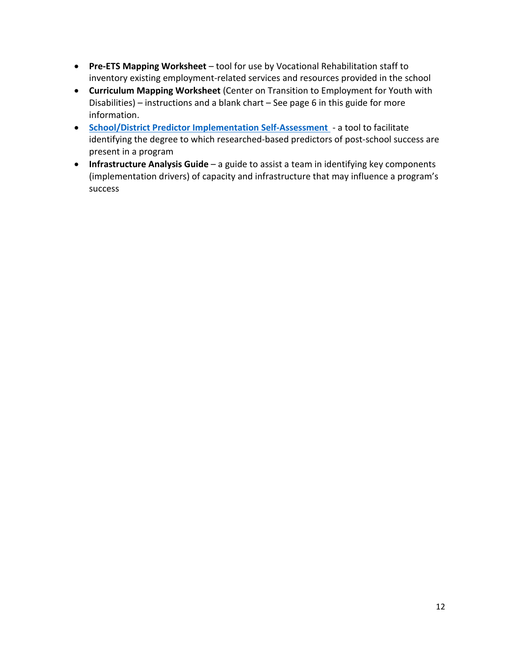- **Pre-ETS Mapping Worksheet** tool for use by Vocational Rehabilitation staff to inventory existing employment-related services and resources provided in the school
- **Curriculum Mapping Worksheet** (Center on Transition to Employment for Youth with Disabilities) – instructions and a blank chart – See page 6 in this guide for more information.
- **[School/District Predictor Implementation Self-Assessment](https://www.transitionta.org/system/files/resources/Predictor_Self-Assessment2.0.pdf?file=1&type=node&id=1359&force)** a tool to facilitate identifying the degree to which researched-based predictors of post-school success are present in a program
- **Infrastructure Analysis Guide** a guide to assist a team in identifying key components (implementation drivers) of capacity and infrastructure that may influence a program's success